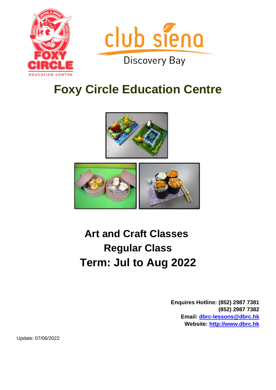



# **Foxy Circle Education Centre**





# **Art and Craft Classes Regular Class Term: Jul to Aug 2022**

**Enquires Hotline: (852) 2987 7381 (852) 2987 7382 Email: [dbrc-lessons@dbrc.hk](mailto:dbrc-lessons@dbrc.hk) Website: [http://www.dbrc.hk](http://www.dbrc.hk/)**

Update: 07/06/2022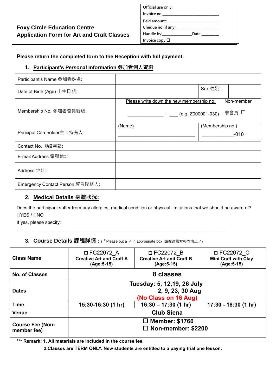| Official use only:                                                                                                                                                                                                             |                                                                                                                                                                                                                                |  |
|--------------------------------------------------------------------------------------------------------------------------------------------------------------------------------------------------------------------------------|--------------------------------------------------------------------------------------------------------------------------------------------------------------------------------------------------------------------------------|--|
|                                                                                                                                                                                                                                |                                                                                                                                                                                                                                |  |
|                                                                                                                                                                                                                                |                                                                                                                                                                                                                                |  |
|                                                                                                                                                                                                                                |                                                                                                                                                                                                                                |  |
| Handle by: The control of the control of the control of the control of the control of the control of the control of the control of the control of the control of the control of the control of the control of the control of t | Date: the controller controller than the controller controller than the controller controller than the controller controller controller controller controller controller controller controller controller controller controlle |  |
| Invoice copy $\square$                                                                                                                                                                                                         |                                                                                                                                                                                                                                |  |

#### **Please return the completed form to the Reception with full payment.**

#### **1. Participant's Personal Information 參加者個人資料**

| Participant's Name 参加者姓名:       |                                          |                  |            |
|---------------------------------|------------------------------------------|------------------|------------|
| Date of Birth (Age) 出生日期:       |                                          | Sex 性別:          |            |
|                                 | Please write down the new membership no. |                  | Non-member |
| Membership No. 參加者會員號碼:         | (e.g. Z000001-030)                       |                  | 非會員 口      |
| Principal Cardholder主卡持有人:      | (Name)                                   | (Membership no.) |            |
|                                 |                                          | $-010$           |            |
| Contact No. 聯絡電話:               |                                          |                  |            |
| E-mail Address 電郵地址:            |                                          |                  |            |
| Address 地址:                     |                                          |                  |            |
| Emergency Contact Person 緊急聯絡人: |                                          |                  |            |

## **2. Medical Details 身體狀況:**

Does the participant suffer from any allergies, medical condition or physical limitations that we should be aware of?  $\Box$ YES /  $\Box$ NO

If yes, please specify:

#### **3. Course Details 課程詳情 :** ( \* Please put a <sup>√</sup> in appropriate box 請在適當方格內填上√)

\_\_\_\_\_\_\_\_\_\_\_\_\_\_\_\_\_\_\_\_\_\_\_\_\_\_\_\_\_\_\_\_\_\_\_\_\_\_\_\_\_\_\_\_\_\_\_\_\_\_\_\_\_\_\_\_\_\_\_\_\_\_\_\_\_\_\_\_\_\_\_\_\_\_\_\_\_\_\_\_\_\_

| <b>Class Name</b>                      | □ FC22072 A<br><b>Creative Art and Craft A</b><br>(Age: 5-15)          | □ FC22072 B<br><b>Creative Art and Craft B</b><br>(Age: 5-15) | □ FC22072 C<br><b>Mini Craft with Clay</b><br>(Age: 5-15) |
|----------------------------------------|------------------------------------------------------------------------|---------------------------------------------------------------|-----------------------------------------------------------|
| <b>No. of Classes</b>                  | 8 classes                                                              |                                                               |                                                           |
| <b>Dates</b>                           | Tuesday: 5, 12,19, 26 July<br>2, 9, 23, 30 Aug<br>(No Class on 16 Aug) |                                                               |                                                           |
| <b>Time</b>                            | 15:30-16:30 (1 hr)                                                     | $16:30 - 17:30$ (1 hr)                                        | 17:30 - 18:30 (1 hr)                                      |
| <b>Venue</b>                           | <b>Club Siena</b>                                                      |                                                               |                                                           |
| <b>Course Fee (Non-</b><br>member fee) | $\Box$ Member: \$1760<br>$\Box$ Non-member: \$2200                     |                                                               |                                                           |

**\*\*\* Remark: 1. All materials are included in the course fee.**

 **2.Classes are TERM ONLY. New students are entitled to a paying trial one lesson.**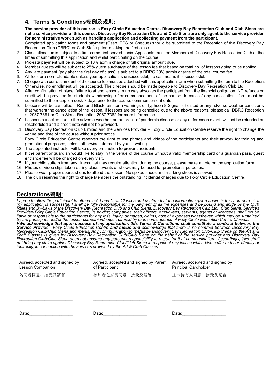#### **4. Terms & Conditions條例及規則:**

**The service provider of this course is Foxy Circle Education Centre. Discovery Bay Recreation Club and Club Siena are not a service provider of this course. Discovery Bay Recreation Club and Club Siena are only agent to the service provider for administrative work such as handling application and collecting payment from the participant.**

- 1. Completed application forms and payment (Cash, EPS or Cheque) should be submitted to the Reception of the Discovery Bay Recreation Club (DBRC) or Club Siena prior to taking the first class.
- 2. Class allocation is subject to a first-come-first-served basis. Applicants must be Members of Discovery Bay Recreation Club at the times of submitting this application and whilst participating on the course.
- 3. Pro-rata payment will be subject to 10% admin charge of full original amount due.
- 4. Member guests will be subject to 25% guest surcharge of the lesson fee that based on total no. of lessons going to be applied.
- 5. Any late payment (pay after the first day of class) is subject to a DBRC 20% admin charge of the total course fee.
- 6. All fees are non-refundable unless your application is unsuccessful; no call means it is successful.
- 7. Cheque with correct amount of the course fee must be attached with this application form when submitting the form to the Reception. Otherwise, no enrollment will be accepted. The cheque should be made payable to Discovery Bay Recreation Club Ltd.
- 8. After confirmation of place, failure to attend lessons in no way absolves the participant from the financial obligation. NO refunds or credit will be provided for students withdrawing after commencement of the course. In case of any cancellations form must be submitted to the reception desk 7 days prior to the course commencement date.
- 9. Lessons will be cancelled if Red and Black rainstorm warnings or Typhoon 8 Signal is hoisted or any adverse weather conditions that warrant the cancellation of the lesson. If lessons are being cancelled due to the above reasons, please call DBRC Reception at 2987 7381 or Club Siena Reception 2987 7382 for more information.
- 10. Lessons cancelled due to the adverse weather, an outbreak of pandemic disease or any unforeseen event, will not be refunded or rescheduled and a credit note will not be provided.
- 11. Discovery Bay Recreation Club Limited and the Services Provider Foxy Circle Education Centre reserve the right to change the venue and time of the course without prior notice.
- 12. Foxy Circle Education Centre reserves the right to use photos and videos of the participants and their artwork for training and promotional purposes, unless otherwise informed by you in writing.
- 13. The appointed instructor will take every precaution to prevent accidents.
- 14. If the parent or guardian would like to stay in the venue of the course without a valid membership card or a guardian pass, guest entrance fee will be charged on every visit.
- 15. If your child suffers from any illness that may require attention during the course, please make a note on the application form.
- 16. Photos or video clips taken during class, events or shows may be used for promotional purposes.
- 17. Please wear proper sports shoes to attend the lesson. No spiked shoes and marking shoes is allowed.
- 18. The club reserves the right to charge Members the outstanding incidental charges due to Foxy Circle Education Centre.

#### **Declarations聲明:**

*I agree to allow the participant to attend in Art and Craft Classes and confirm that the information given above is true and correct. If my application is successful, I shall be fully responsible for the payment of all the expenses and be bound and abide by the Club Rules and By-Laws of the Discovery Bay Recreation Club and Club Siena. Discovery Bay Recreation Club Ltd., Club Siena, Services Provider- Foxy Circle Education Centre, its holding companies, their officers, employees, servants, agents or licensees, shall not be liable or responsible to the participants for any loss, injury, damages, claims, cost or expenses whatsoever, which may be sustained by the participant and/or the lesson companion/helper, caused by or in consequence of Foxy Circle Education Centre Classes. I/We acknowledge that upon success of my application, this Terms & Conditions shall constitute a contract between the Service Provider- Foxy Circle Education Centre and me/us and acknowledge that there is no contract between Discovery Bay Recreation Club/Club Siena and me/us. Any communication to me/us by Discovery Bay Recreation Club/Club Siena on the Art and Craft Classes is given by Discovery Bay Recreation Club/Club Siena on the behalf of the service provider and Discovery Bay Recreation Club/Club Siena does not assume any personal responsibility to me/us for that communication. Accordingly, I/we shall not bring any claim against Discovery Bay Recreation Club/Club Siena in respect of any losses which I/we suffer or incur, directly or indirectly, in connection with the services provided by the Art & Craft Classes.*

| Agreed, accepted and signed by<br>Lesson Companion | Agreed, accepted and signed by Parent<br>of Participant | Agreed, accepted and signed by<br><b>Principal Cardholder</b> |
|----------------------------------------------------|---------------------------------------------------------|---------------------------------------------------------------|
| 陪同者同意、接受及簽署                                        | 參加者之家長同意、接受及簽署                                          | 主卡持有人同意、接受及簽署                                                 |
|                                                    |                                                         |                                                               |
| Date:                                              | Date:                                                   | Date:                                                         |